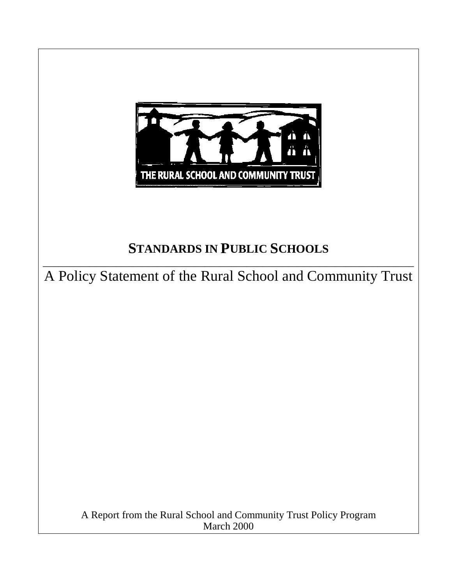

# **STANDARDS IN PUBLIC SCHOOLS**

\_\_\_\_\_\_\_\_\_\_\_\_\_\_\_\_\_\_\_\_\_\_\_\_\_\_\_\_\_\_\_\_\_\_\_\_\_\_\_\_\_\_\_\_\_\_\_\_\_\_\_\_\_\_\_\_\_\_\_\_\_\_\_\_\_\_\_\_\_\_\_ A Policy Statement of the Rural School and Community Trust

> A Report from the Rural School and Community Trust Policy Program March 2000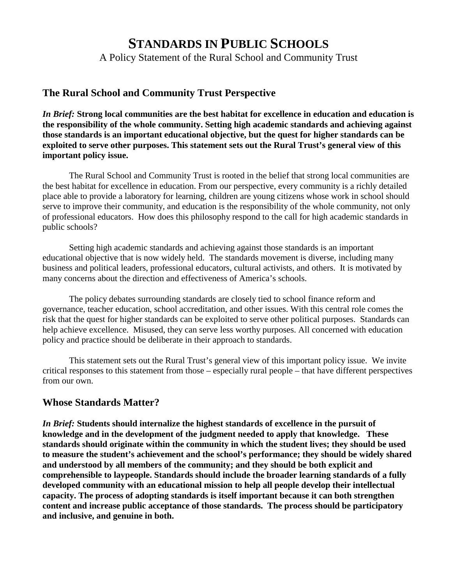## **STANDARDS IN PUBLIC SCHOOLS**

A Policy Statement of the Rural School and Community Trust

### **The Rural School and Community Trust Perspective**

*In Brief:* **Strong local communities are the best habitat for excellence in education and education is the responsibility of the whole community. Setting high academic standards and achieving against those standards is an important educational objective, but the quest for higher standards can be exploited to serve other purposes. This statement sets out the Rural Trust's general view of this important policy issue.**

The Rural School and Community Trust is rooted in the belief that strong local communities are the best habitat for excellence in education. From our perspective, every community is a richly detailed place able to provide a laboratory for learning, children are young citizens whose work in school should serve to improve their community, and education is the responsibility of the whole community, not only of professional educators. How does this philosophy respond to the call for high academic standards in public schools?

Setting high academic standards and achieving against those standards is an important educational objective that is now widely held. The standards movement is diverse, including many business and political leaders, professional educators, cultural activists, and others. It is motivated by many concerns about the direction and effectiveness of America's schools.

The policy debates surrounding standards are closely tied to school finance reform and governance, teacher education, school accreditation, and other issues. With this central role comes the risk that the quest for higher standards can be exploited to serve other political purposes. Standards can help achieve excellence. Misused, they can serve less worthy purposes. All concerned with education policy and practice should be deliberate in their approach to standards.

This statement sets out the Rural Trust's general view of this important policy issue. We invite critical responses to this statement from those – especially rural people – that have different perspectives from our own.

### **Whose Standards Matter?**

*In Brief:* **Students should internalize the highest standards of excellence in the pursuit of knowledge and in the development of the judgment needed to apply that knowledge. These standards should originate within the community in which the student lives; they should be used to measure the student's achievement and the school's performance; they should be widely shared and understood by all members of the community; and they should be both explicit and comprehensible to laypeople. Standards should include the broader learning standards of a fully developed community with an educational mission to help all people develop their intellectual capacity. The process of adopting standards is itself important because it can both strengthen content and increase public acceptance of those standards. The process should be participatory and inclusive, and genuine in both.**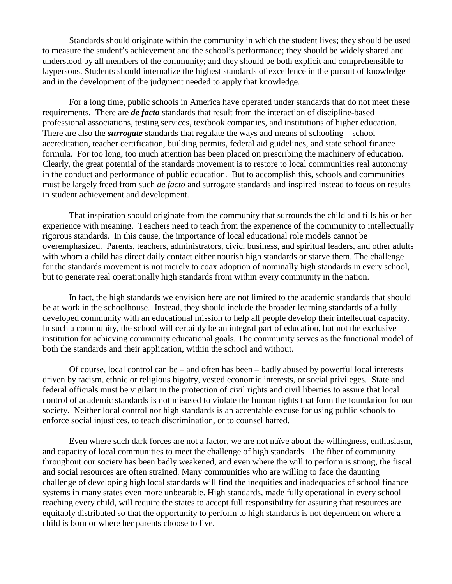Standards should originate within the community in which the student lives; they should be used to measure the student's achievement and the school's performance; they should be widely shared and understood by all members of the community; and they should be both explicit and comprehensible to laypersons. Students should internalize the highest standards of excellence in the pursuit of knowledge and in the development of the judgment needed to apply that knowledge.

For a long time, public schools in America have operated under standards that do not meet these requirements. There are *de facto* standards that result from the interaction of discipline-based professional associations, testing services, textbook companies, and institutions of higher education. There are also the *surrogate* standards that regulate the ways and means of schooling – school accreditation, teacher certification, building permits, federal aid guidelines, and state school finance formula. For too long, too much attention has been placed on prescribing the machinery of education. Clearly, the great potential of the standards movement is to restore to local communities real autonomy in the conduct and performance of public education. But to accomplish this, schools and communities must be largely freed from such *de facto* and surrogate standards and inspired instead to focus on results in student achievement and development.

That inspiration should originate from the community that surrounds the child and fills his or her experience with meaning. Teachers need to teach from the experience of the community to intellectually rigorous standards. In this cause, the importance of local educational role models cannot be overemphasized. Parents, teachers, administrators, civic, business, and spiritual leaders, and other adults with whom a child has direct daily contact either nourish high standards or starve them. The challenge for the standards movement is not merely to coax adoption of nominally high standards in every school, but to generate real operationally high standards from within every community in the nation.

In fact, the high standards we envision here are not limited to the academic standards that should be at work in the schoolhouse. Instead, they should include the broader learning standards of a fully developed community with an educational mission to help all people develop their intellectual capacity. In such a community, the school will certainly be an integral part of education, but not the exclusive institution for achieving community educational goals. The community serves as the functional model of both the standards and their application, within the school and without.

Of course, local control can be – and often has been – badly abused by powerful local interests driven by racism, ethnic or religious bigotry, vested economic interests, or social privileges. State and federal officials must be vigilant in the protection of civil rights and civil liberties to assure that local control of academic standards is not misused to violate the human rights that form the foundation for our society. Neither local control nor high standards is an acceptable excuse for using public schools to enforce social injustices, to teach discrimination, or to counsel hatred.

Even where such dark forces are not a factor, we are not naïve about the willingness, enthusiasm, and capacity of local communities to meet the challenge of high standards. The fiber of community throughout our society has been badly weakened, and even where the will to perform is strong, the fiscal and social resources are often strained. Many communities who are willing to face the daunting challenge of developing high local standards will find the inequities and inadequacies of school finance systems in many states even more unbearable. High standards, made fully operational in every school reaching every child, will require the states to accept full responsibility for assuring that resources are equitably distributed so that the opportunity to perform to high standards is not dependent on where a child is born or where her parents choose to live.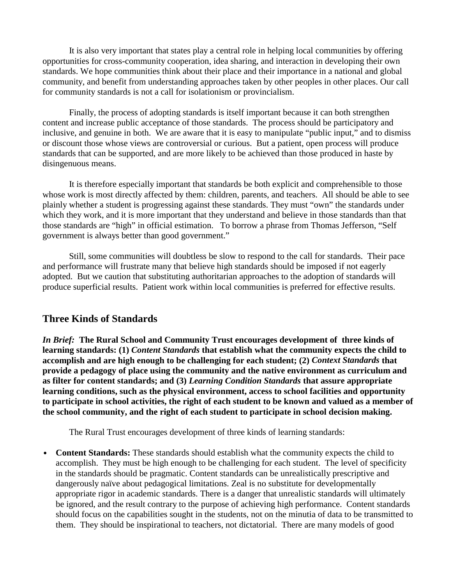It is also very important that states play a central role in helping local communities by offering opportunities for cross-community cooperation, idea sharing, and interaction in developing their own standards. We hope communities think about their place and their importance in a national and global community, and benefit from understanding approaches taken by other peoples in other places. Our call for community standards is not a call for isolationism or provincialism.

Finally, the process of adopting standards is itself important because it can both strengthen content and increase public acceptance of those standards. The process should be participatory and inclusive, and genuine in both. We are aware that it is easy to manipulate "public input," and to dismiss or discount those whose views are controversial or curious. But a patient, open process will produce standards that can be supported, and are more likely to be achieved than those produced in haste by disingenuous means.

It is therefore especially important that standards be both explicit and comprehensible to those whose work is most directly affected by them: children, parents, and teachers. All should be able to see plainly whether a student is progressing against these standards. They must "own" the standards under which they work, and it is more important that they understand and believe in those standards than that those standards are "high" in official estimation. To borrow a phrase from Thomas Jefferson, "Self government is always better than good government."

Still, some communities will doubtless be slow to respond to the call for standards. Their pace and performance will frustrate many that believe high standards should be imposed if not eagerly adopted. But we caution that substituting authoritarian approaches to the adoption of standards will produce superficial results. Patient work within local communities is preferred for effective results.

### **Three Kinds of Standards**

*In Brief:* **The Rural School and Community Trust encourages development of three kinds of learning standards: (1)** *Content Standards* **that establish what the community expects the child to accomplish and are high enough to be challenging for each student; (2)** *Context Standards* **that provide a pedagogy of place using the community and the native environment as curriculum and as filter for content standards; and (3)** *Learning Condition Standards* **that assure appropriate learning conditions, such as the physical environment, access to school facilities and opportunity to participate in school activities, the right of each student to be known and valued as a member of the school community, and the right of each student to participate in school decision making.**

The Rural Trust encourages development of three kinds of learning standards:

• **Content Standards:** These standards should establish what the community expects the child to accomplish. They must be high enough to be challenging for each student. The level of specificity in the standards should be pragmatic. Content standards can be unrealistically prescriptive and dangerously naïve about pedagogical limitations. Zeal is no substitute for developmentally appropriate rigor in academic standards. There is a danger that unrealistic standards will ultimately be ignored, and the result contrary to the purpose of achieving high performance. Content standards should focus on the capabilities sought in the students, not on the minutia of data to be transmitted to them. They should be inspirational to teachers, not dictatorial. There are many models of good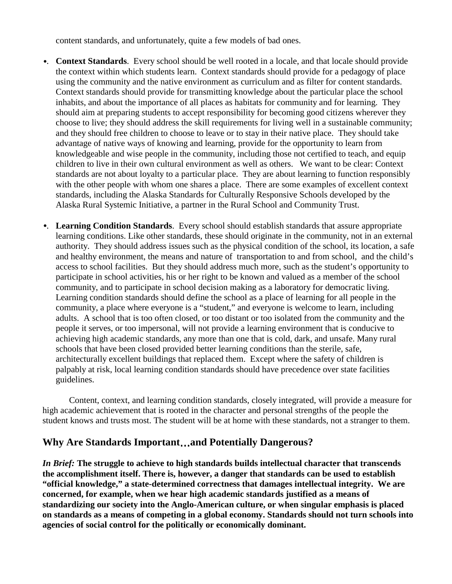content standards, and unfortunately, quite a few models of bad ones.

- •. **Context Standards**. Every school should be well rooted in a locale, and that locale should provide the context within which students learn. Context standards should provide for a pedagogy of place using the community and the native environment as curriculum and as filter for content standards. Context standards should provide for transmitting knowledge about the particular place the school inhabits, and about the importance of all places as habitats for community and for learning. They should aim at preparing students to accept responsibility for becoming good citizens wherever they choose to live; they should address the skill requirements for living well in a sustainable community; and they should free children to choose to leave or to stay in their native place. They should take advantage of native ways of knowing and learning, provide for the opportunity to learn from knowledgeable and wise people in the community, including those not certified to teach, and equip children to live in their own cultural environment as well as others. We want to be clear: Context standards are not about loyalty to a particular place. They are about learning to function responsibly with the other people with whom one shares a place. There are some examples of excellent context standards, including the Alaska Standards for Culturally Responsive Schools developed by the Alaska Rural Systemic Initiative, a partner in the Rural School and Community Trust.
- •. **Learning Condition Standards**. Every school should establish standards that assure appropriate learning conditions. Like other standards, these should originate in the community, not in an external authority. They should address issues such as the physical condition of the school, its location, a safe and healthy environment, the means and nature of transportation to and from school, and the child's access to school facilities. But they should address much more, such as the student's opportunity to participate in school activities, his or her right to be known and valued as a member of the school community, and to participate in school decision making as a laboratory for democratic living. Learning condition standards should define the school as a place of learning for all people in the community, a place where everyone is a "student," and everyone is welcome to learn, including adults. A school that is too often closed, or too distant or too isolated from the community and the people it serves, or too impersonal, will not provide a learning environment that is conducive to achieving high academic standards, any more than one that is cold, dark, and unsafe. Many rural schools that have been closed provided better learning conditions than the sterile, safe, architecturally excellent buildings that replaced them. Except where the safety of children is palpably at risk, local learning condition standards should have precedence over state facilities guidelines.

Content, context, and learning condition standards, closely integrated, will provide a measure for high academic achievement that is rooted in the character and personal strengths of the people the student knows and trusts most. The student will be at home with these standards, not a stranger to them.

### **Why Are Standards Important**…**and Potentially Dangerous?**

*In Brief:* **The struggle to achieve to high standards builds intellectual character that transcends the accomplishment itself. There is, however, a danger that standards can be used to establish "official knowledge," a state-determined correctness that damages intellectual integrity. We are concerned, for example, when we hear high academic standards justified as a means of standardizing our society into the Anglo-American culture, or when singular emphasis is placed on standards as a means of competing in a global economy. Standards should not turn schools into agencies of social control for the politically or economically dominant.**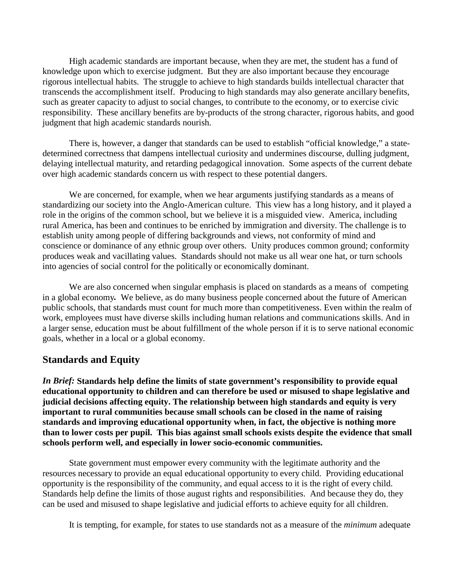High academic standards are important because, when they are met, the student has a fund of knowledge upon which to exercise judgment. But they are also important because they encourage rigorous intellectual habits. The struggle to achieve to high standards builds intellectual character that transcends the accomplishment itself. Producing to high standards may also generate ancillary benefits, such as greater capacity to adjust to social changes, to contribute to the economy, or to exercise civic responsibility. These ancillary benefits are by-products of the strong character, rigorous habits, and good judgment that high academic standards nourish.

There is, however, a danger that standards can be used to establish "official knowledge," a statedetermined correctness that dampens intellectual curiosity and undermines discourse, dulling judgment, delaying intellectual maturity, and retarding pedagogical innovation. Some aspects of the current debate over high academic standards concern us with respect to these potential dangers.

We are concerned, for example, when we hear arguments justifying standards as a means of standardizing our society into the Anglo-American culture. This view has a long history, and it played a role in the origins of the common school, but we believe it is a misguided view. America, including rural America, has been and continues to be enriched by immigration and diversity. The challenge is to establish unity among people of differing backgrounds and views, not conformity of mind and conscience or dominance of any ethnic group over others. Unity produces common ground; conformity produces weak and vacillating values. Standards should not make us all wear one hat, or turn schools into agencies of social control for the politically or economically dominant.

We are also concerned when singular emphasis is placed on standards as a means of competing in a global economy*.* We believe, as do many business people concerned about the future of American public schools, that standards must count for much more than competitiveness. Even within the realm of work, employees must have diverse skills including human relations and communications skills. And in a larger sense, education must be about fulfillment of the whole person if it is to serve national economic goals, whether in a local or a global economy.

### **Standards and Equity**

*In Brief:* **Standards help define the limits of state government's responsibility to provide equal educational opportunity to children and can therefore be used or misused to shape legislative and judicial decisions affecting equity. The relationship between high standards and equity is very important to rural communities because small schools can be closed in the name of raising standards and improving educational opportunity when, in fact, the objective is nothing more than to lower costs per pupil. This bias against small schools exists despite the evidence that small schools perform well, and especially in lower socio-economic communities.**

State government must empower every community with the legitimate authority and the resources necessary to provide an equal educational opportunity to every child. Providing educational opportunity is the responsibility of the community, and equal access to it is the right of every child. Standards help define the limits of those august rights and responsibilities. And because they do, they can be used and misused to shape legislative and judicial efforts to achieve equity for all children.

It is tempting, for example, for states to use standards not as a measure of the *minimum* adequate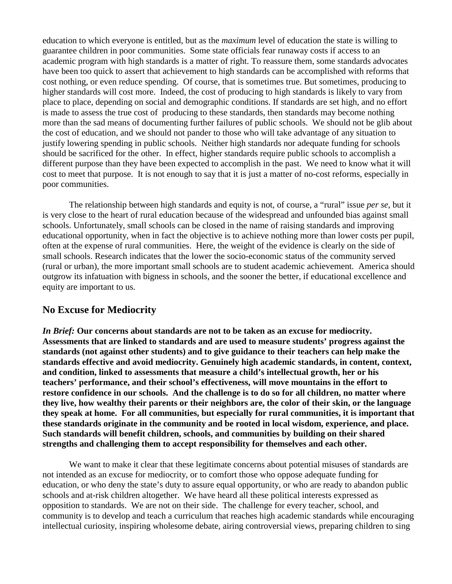education to which everyone is entitled, but as the *maximum* level of education the state is willing to guarantee children in poor communities. Some state officials fear runaway costs if access to an academic program with high standards is a matter of right. To reassure them, some standards advocates have been too quick to assert that achievement to high standards can be accomplished with reforms that cost nothing, or even reduce spending. Of course, that is sometimes true. But sometimes, producing to higher standards will cost more. Indeed, the cost of producing to high standards is likely to vary from place to place, depending on social and demographic conditions. If standards are set high, and no effort is made to assess the true cost of producing to these standards, then standards may become nothing more than the sad means of documenting further failures of public schools. We should not be glib about the cost of education, and we should not pander to those who will take advantage of any situation to justify lowering spending in public schools. Neither high standards nor adequate funding for schools should be sacrificed for the other. In effect, higher standards require public schools to accomplish a different purpose than they have been expected to accomplish in the past. We need to know what it will cost to meet that purpose. It is not enough to say that it is just a matter of no-cost reforms, especially in poor communities.

The relationship between high standards and equity is not, of course, a "rural" issue *per se*, but it is very close to the heart of rural education because of the widespread and unfounded bias against small schools. Unfortunately, small schools can be closed in the name of raising standards and improving educational opportunity, when in fact the objective is to achieve nothing more than lower costs per pupil, often at the expense of rural communities. Here, the weight of the evidence is clearly on the side of small schools. Research indicates that the lower the socio-economic status of the community served (rural or urban), the more important small schools are to student academic achievement. America should outgrow its infatuation with bigness in schools, and the sooner the better, if educational excellence and equity are important to us.

### **No Excuse for Mediocrity**

*In Brief:* **Our concerns about standards are not to be taken as an excuse for mediocrity. Assessments that are linked to standards and are used to measure students' progress against the standards (not against other students) and to give guidance to their teachers can help make the standards effective and avoid mediocrity. Genuinely high academic standards, in content, context, and condition, linked to assessments that measure a child's intellectual growth, her or his teachers' performance, and their school's effectiveness, will move mountains in the effort to restore confidence in our schools. And the challenge is to do so for all children, no matter where they live, how wealthy their parents or their neighbors are, the color of their skin, or the language they speak at home. For all communities, but especially for rural communities, it is important that these standards originate in the community and be rooted in local wisdom, experience, and place. Such standards will benefit children, schools, and communities by building on their shared strengths and challenging them to accept responsibility for themselves and each other.**

We want to make it clear that these legitimate concerns about potential misuses of standards are not intended as an excuse for mediocrity, or to comfort those who oppose adequate funding for education, or who deny the state's duty to assure equal opportunity, or who are ready to abandon public schools and at-risk children altogether. We have heard all these political interests expressed as opposition to standards. We are not on their side. The challenge for every teacher, school, and community is to develop and teach a curriculum that reaches high academic standards while encouraging intellectual curiosity, inspiring wholesome debate, airing controversial views, preparing children to sing